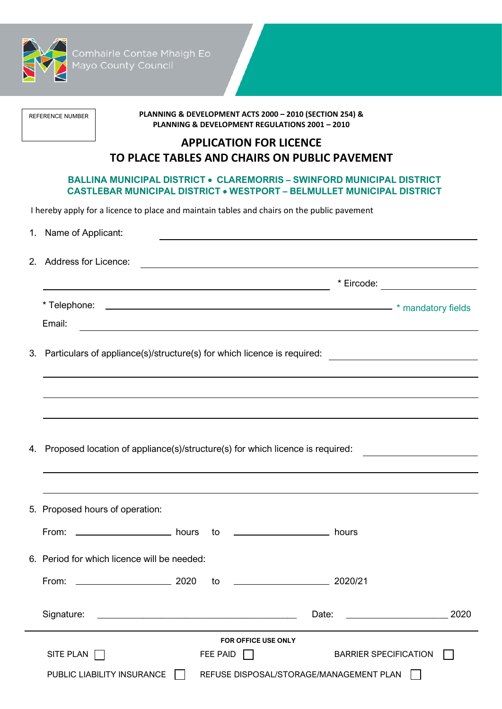

-<br>Comhairle Contae Mhaigh Eo<br>Mayo County Council

REFERENCE NUMBER

**PLANNING & DEVELOPMENT ACTS 2000 – 2010 (SECTION 254) & PLANNING & DEVELOPMENT REGULATIONS 2001 – 2010**

# **APPLICATION FOR LICENCE TO PLACE TABLES AND CHAIRS ON PUBLIC PAVEMENT**

# **BALLINA MUNICIPAL DISTRICT** • **CLAREMORRIS – SWINFORD MUNICIPAL DISTRICT CASTLEBAR MUNICIPAL DISTRICT** • **WESTPORT – BELMULLET MUNICIPAL DISTRICT**

I hereby apply for a licence to place and maintain tables and chairs on the public pavement

| 1. Name of Applicant:                                                                                                                                                                    |                                 |      |
|------------------------------------------------------------------------------------------------------------------------------------------------------------------------------------------|---------------------------------|------|
| 2. Address for Licence:                                                                                                                                                                  |                                 |      |
|                                                                                                                                                                                          | * Eircode: ____________________ |      |
|                                                                                                                                                                                          |                                 |      |
| Email:<br><u> 1989 - Johann Barbara, martxa alemaniar argumentu (h. 1989).</u>                                                                                                           |                                 |      |
| 3. Particulars of appliance(s)/structure(s) for which licence is required: _________________________<br>,我们也不会有什么。""我们的人,我们也不会有什么?""我们的人,我们也不会有什么?""我们的人,我们也不会有什么?""我们的人,我们也不会有什么?""我们的人 |                                 |      |
|                                                                                                                                                                                          |                                 |      |
|                                                                                                                                                                                          |                                 |      |
| 4. Proposed location of appliance(s)/structure(s) for which licence is required:                                                                                                         |                                 |      |
|                                                                                                                                                                                          |                                 |      |
| ,我们也不会有什么。""我们的人,我们也不会有什么?""我们的人,我们也不会有什么?""我们的人,我们也不会有什么?""我们的人,我们也不会有什么?""我们的人<br>5. Proposed hours of operation:                                                                      |                                 |      |
| From: ________________________ hours to ___________________________ hours                                                                                                                |                                 |      |
| 6. Period for which licence will be needed:                                                                                                                                              |                                 |      |
| $\begin{array}{c c} \hline \textbf{2020} & \textbf{2020} \end{array}$<br>$\begin{array}{c c} \hline \textbf{2020/21} \end{array}$<br>From:<br>to                                         |                                 |      |
| Signature:<br><u> 1989 - Johann Barbara, martxa alemaniar amerikan basar da a</u>                                                                                                        | Date:                           | 2020 |
| <b>FOR OFFICE USE ONLY</b>                                                                                                                                                               |                                 |      |
| SITE PLAN<br>FEE PAID<br>$\mathbf{I}$                                                                                                                                                    | <b>BARRIER SPECIFICATION</b>    |      |
| PUBLIC LIABILITY INSURANCE<br>REFUSE DISPOSAL/STORAGE/MANAGEMENT PLAN                                                                                                                    |                                 |      |